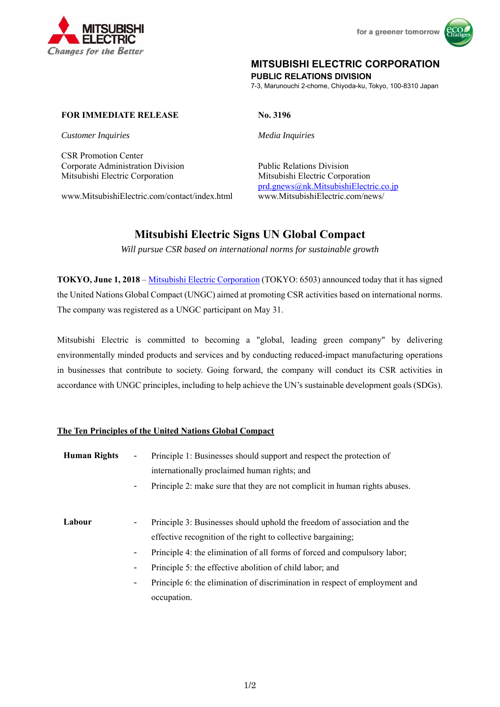



## **MITSUBISHI ELECTRIC CORPORATION**

**PUBLIC RELATIONS DIVISION** 

7-3, Marunouchi 2-chome, Chiyoda-ku, Tokyo, 100-8310 Japan

## **FOR IMMEDIATE RELEASE No. 3196**

*Customer Inquiries Media Inquiries* 

CSR Promotion Center Corporate Administration Division Public Relations Division Mitsubishi Electric Corporation Mitsubishi Electric Corporation

www.MitsubishiElectric.com/contact/index.html www.MitsubishiElectric.com/news/

prd.gnews@nk.MitsubishiElectric.co.jp

# **Mitsubishi Electric Signs UN Global Compact**

*Will pursue CSR based on international norms for sustainable growth* 

**TOKYO, June 1, 2018** – Mitsubishi Electric Corporation (TOKYO: 6503) announced today that it has signed the United Nations Global Compact (UNGC) aimed at promoting CSR activities based on international norms. The company was registered as a UNGC participant on May 31.

Mitsubishi Electric is committed to becoming a "global, leading green company" by delivering environmentally minded products and services and by conducting reduced-impact manufacturing operations in businesses that contribute to society. Going forward, the company will conduct its CSR activities in accordance with UNGC principles, including to help achieve the UN's sustainable development goals (SDGs).

## **The Ten Principles of the United Nations Global Compact**

| <b>Human Rights</b> | $\blacksquare$<br>$\blacksquare$                                                             | Principle 1: Businesses should support and respect the protection of<br>internationally proclaimed human rights; and<br>Principle 2: make sure that they are not complicit in human rights abuses.                                                                                                                                                                              |
|---------------------|----------------------------------------------------------------------------------------------|---------------------------------------------------------------------------------------------------------------------------------------------------------------------------------------------------------------------------------------------------------------------------------------------------------------------------------------------------------------------------------|
| Labour              | $\overline{\phantom{a}}$<br>$\blacksquare$<br>$\qquad \qquad \blacksquare$<br>$\blacksquare$ | Principle 3: Businesses should uphold the freedom of association and the<br>effective recognition of the right to collective bargaining;<br>Principle 4: the elimination of all forms of forced and compulsory labor;<br>Principle 5: the effective abolition of child labor; and<br>Principle 6: the elimination of discrimination in respect of employment and<br>occupation. |